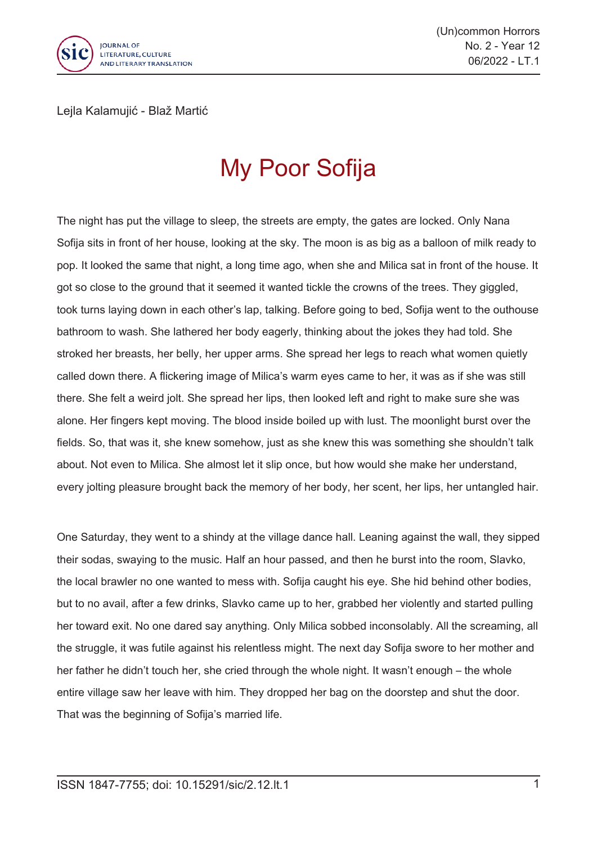

(Un)common Horrors No. 2 - Year 12 06/2022 - LT.1

Lejla Kalamujić - Blaž Martić

## My Poor Sofija

The night has put the village to sleep, the streets are empty, the gates are locked. Only Nana Sofija sits in front of her house, looking at the sky. The moon is as big as <sup>a</sup> balloon of milk ready to pop. It looked the same that night, <sup>a</sup> long time ago, when she and Milica sat in front of the house. It got so close to the ground that it seemed it wanted tickle the crowns of the trees. They giggled, took turns laying down in each other's lap, talking. Before going to bed, Sofija went to the outhouse bathroom to wash. She lathered her body eagerly, thinking about the jokes they had told. She stroked her breasts, her belly, her upper arms. She spread her legs to reach what women quietly called down there. A flickering image of Milica's warm eyes came to her, it was as if she was still there. She felt <sup>a</sup> weird jolt. She spread her lips, then looked left and right to make sure she was alone. Her fingers kept moving. The blood inside boiled up with lust. The moonlight burst over the fields. So, that was it, she knew somehow, just as she knew this was something she shouldn't talk about. Not even to Milica. She almost let it slip once, but how would she make her understand, every jolting pleasure brought back the memory of her body, her scent, her lips, her untangled hair.

One Saturday, they went to <sup>a</sup> shindy at the village dance hall. Leaning against the wall, they sipped their sodas, swaying to the music. Half an hour passed, and then he burst into the room, Slavko, the local brawler no one wanted to mess with. Sofija caught his eye. She hid behind other bodies, but to no avail, after <sup>a</sup> few drinks, Slavko came up to her, grabbed her violently and started pulling her toward exit. No one dared say anything. Only Milica sobbed inconsolably. All the screaming, all the struggle, it was futile against his relentless might. The next day Sofija swore to her mother and her father he didn't touch her, she cried through the whole night. It wasn't enough – the whole entire village saw her leave with him. They dropped her bag on the doorstep and shut the door. That was the beginning of Sofija's married life.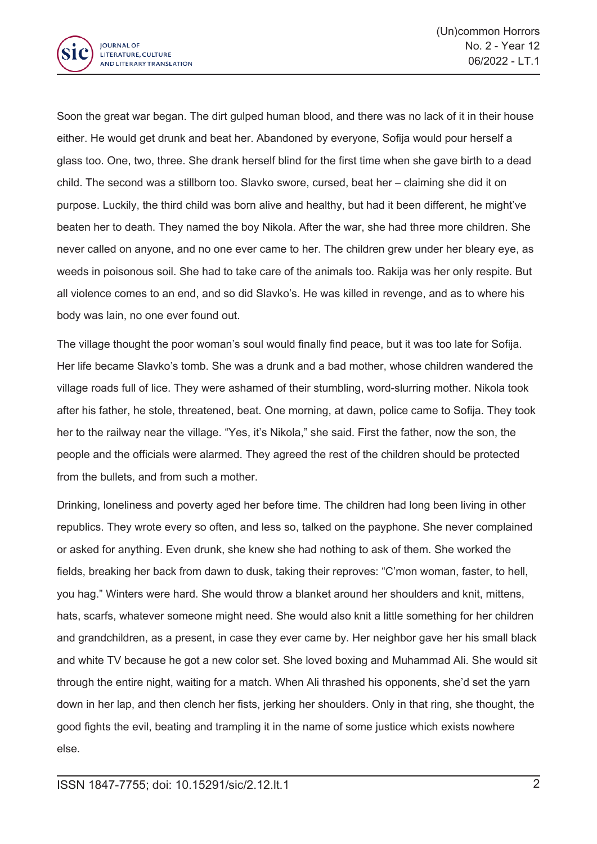

Soon the great war began. The dirt gulped human blood, and there was no lack of it in their house either. He would get drunk and beat her. Abandoned by everyone, Sofija would pour herself <sup>a</sup> glass too. One, two, three. She drank herself blind for the first time when she gave birth to <sup>a</sup> dead child. The second was <sup>a</sup> stillborn too. Slavko swore, cursed, beat her – claiming she did it on purpose. Luckily, the third child was born alive and healthy, but had it been different, he might've beaten her to death. They named the boy Nikola. After the war, she had three more children. She never called on anyone, and no one ever came to her. The children grew under her bleary eye, as weeds in poisonous soil. She had to take care of the animals too. Rakija was her only respite. But all violence comes to an end, and so did Slavko's. He was killed in revenge, and as to where his body was lain, no one ever found out.

The village thought the poor woman's soul would finally find peace, but it was too late for Sofija. Her life became Slavko's tomb. She was <sup>a</sup> drunk and <sup>a</sup> bad mother, whose children wandered the village roads full of lice. They were ashamed of their stumbling, word-slurring mother. Nikola took after his father, he stole, threatened, beat. One morning, at dawn, police came to Sofija. They took her to the railway near the village. "Yes, it's Nikola," she said. First the father, now the son, the people and the officials were alarmed. They agreed the rest of the children should be protected from the bullets, and from such <sup>a</sup> mother.

Drinking, loneliness and poverty aged her before time. The children had long been living in other republics. They wrote every so often, and less so, talked on the payphone. She never complained or asked for anything. Even drunk, she knew she had nothing to ask of them. She worked the fields, breaking her back from dawn to dusk, taking their reproves: "C'mon woman, faster, to hell, you hag." Winters were hard. She would throw <sup>a</sup> blanket around her shoulders and knit, mittens, hats, scarfs, whatever someone might need. She would also knit <sup>a</sup> little something for her children and grandchildren, as <sup>a</sup> present, in case they ever came by. Her neighbor gave her his small black and white TV because he got <sup>a</sup> new color set. She loved boxing and Muhammad Ali. She would sit through the entire night, waiting for <sup>a</sup> match. When Ali thrashed his opponents, she'd set the yarn down in her lap, and then clench her fists, jerking her shoulders. Only in that ring, she thought, the good fights the evil, beating and trampling it in the name of some justice which exists nowhere else.